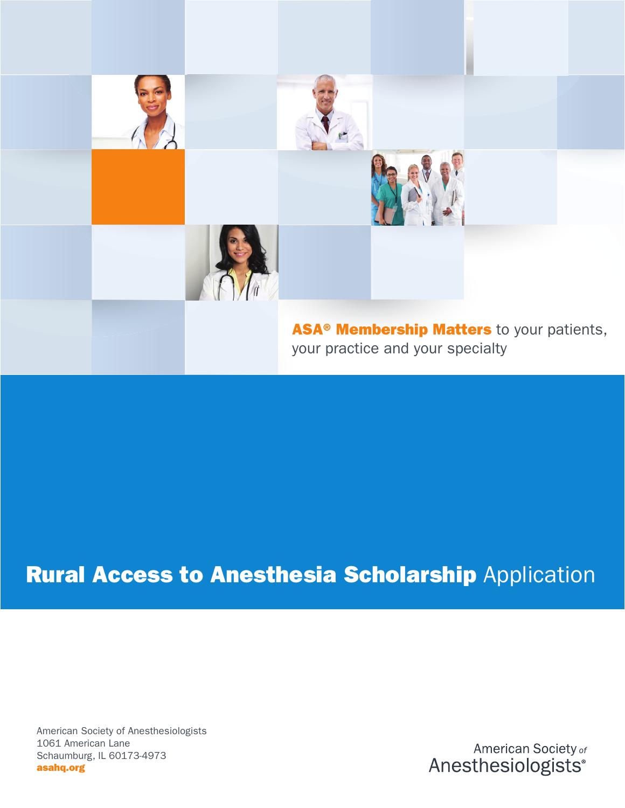

## Rural Access to Anesthesia Scholarship Application

American Society of Anesthesiologists 1061 American Lane Schaumburg, IL 60173-4973 asahq.org

American Society of Anesthesiologists®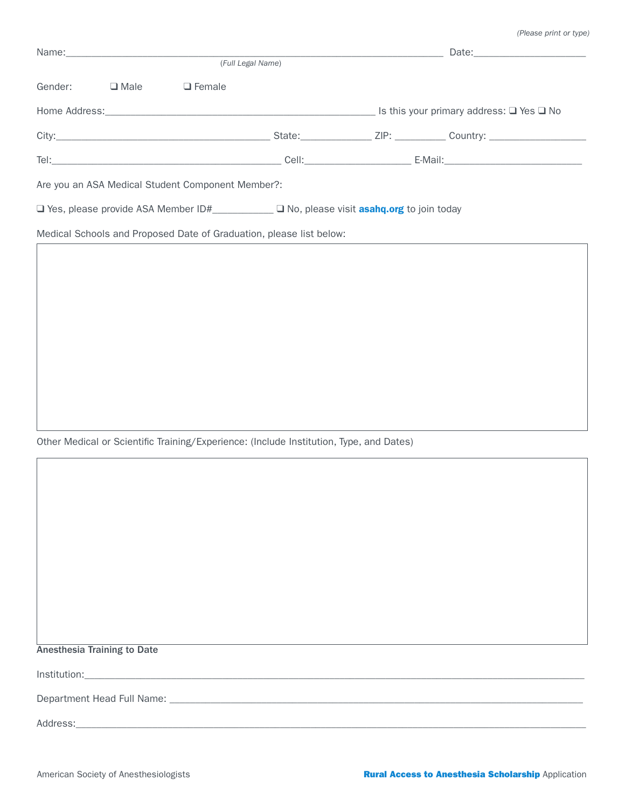| Name: Name: Name: Name: Name: Name: Name: Name: Name: Name: Name: Name: Name: Name: Name: Name: Name: Name: Name: Name: Name: Name: Name: Name: Name: Name: Name: Name: Name: Name: Name: Name: Name: Name: Name: Name: Name: |  |                                                   |                                                                     |  |  |  |
|-------------------------------------------------------------------------------------------------------------------------------------------------------------------------------------------------------------------------------|--|---------------------------------------------------|---------------------------------------------------------------------|--|--|--|
|                                                                                                                                                                                                                               |  |                                                   | (Full Legal Name)                                                   |  |  |  |
| Gender: $\Box$ Male $\Box$ Female                                                                                                                                                                                             |  |                                                   |                                                                     |  |  |  |
|                                                                                                                                                                                                                               |  |                                                   |                                                                     |  |  |  |
|                                                                                                                                                                                                                               |  |                                                   |                                                                     |  |  |  |
|                                                                                                                                                                                                                               |  |                                                   |                                                                     |  |  |  |
|                                                                                                                                                                                                                               |  | Are you an ASA Medical Student Component Member?: |                                                                     |  |  |  |
| $\Box$ Yes, please provide ASA Member ID# $\Box$ No, please visit <b>asahq.org</b> to join today                                                                                                                              |  |                                                   |                                                                     |  |  |  |
|                                                                                                                                                                                                                               |  |                                                   | Medical Schools and Proposed Date of Graduation, please list below: |  |  |  |
|                                                                                                                                                                                                                               |  |                                                   |                                                                     |  |  |  |
|                                                                                                                                                                                                                               |  |                                                   |                                                                     |  |  |  |

Other Medical or Scientific Training/Experience: (Include Institution, Type, and Dates)

 $Institution:$   $\overline{\phantom{a}}$ 

Department Head Full Name: \_\_\_\_\_\_\_\_\_\_\_\_\_\_\_\_\_\_\_\_\_\_\_\_\_\_\_\_\_\_\_\_\_\_\_\_\_\_\_\_\_\_\_\_\_\_\_\_\_\_\_\_\_\_\_\_\_\_\_\_\_\_\_\_\_\_\_\_\_\_\_\_\_\_\_\_\_\_\_\_\_

Address:\_\_\_\_\_\_\_\_\_\_\_\_\_\_\_\_\_\_\_\_\_\_\_\_\_\_\_\_\_\_\_\_\_\_\_\_\_\_\_\_\_\_\_\_\_\_\_\_\_\_\_\_\_\_\_\_\_\_\_\_\_\_\_\_\_\_\_\_\_\_\_\_\_\_\_\_\_\_\_\_\_\_\_\_\_\_\_\_\_\_\_\_\_\_\_\_\_\_\_\_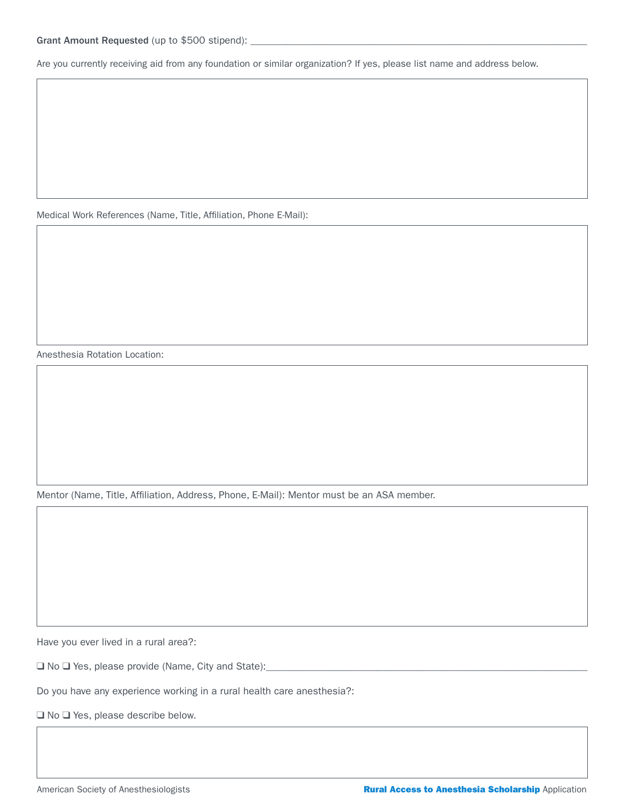Are you currently receiving aid from any foundation or similar organization? If yes, please list name and address below.

Medical Work References (Name, Title, Affiliation, Phone E-Mail):

Anesthesia Rotation Location:

Mentor (Name, Title, Affiliation, Address, Phone, E-Mail): Mentor must be an ASA member.

Have you ever lived in a rural area?:

❑ No ❑ Yes, please provide (Name, City and State):\_\_\_\_\_\_\_\_\_\_\_\_\_\_\_\_\_\_\_\_\_\_\_\_\_\_\_\_\_\_\_\_\_\_\_\_\_\_\_\_\_\_\_\_\_\_\_\_\_\_\_\_\_\_\_\_\_\_\_\_\_\_\_

Do you have any experience working in a rural health care anesthesia?:

❑ No ❑ Yes, please describe below.